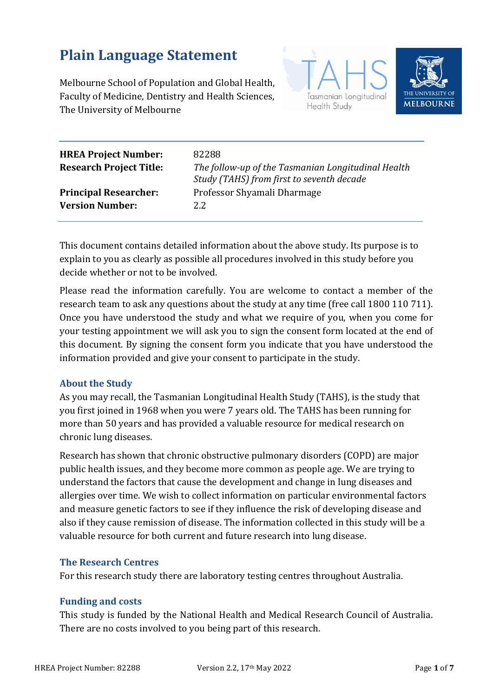# **Plain Language Statement**

Melbourne School of Population and Global Health, Faculty of Medicine, Dentistry and Health Sciences, The University of Melbourne





| <b>HREA Project Number:</b><br><b>Research Project Title:</b> | 82288<br>The follow-up of the Tasmanian Longitudinal Health<br>Study (TAHS) from first to seventh decade |
|---------------------------------------------------------------|----------------------------------------------------------------------------------------------------------|
| <b>Principal Researcher:</b>                                  | Professor Shyamali Dharmage                                                                              |
| <b>Version Number:</b>                                        | 2.2.                                                                                                     |

This document contains detailed information about the above study. Its purpose is to explain to you as clearly as possible all procedures involved in this study before you decide whether or not to be involved.

Please read the information carefully. You are welcome to contact a member of the research team to ask any questions about the study at any time (free call 1800 110 711). Once you have understood the study and what we require of you, when you come for your testing appointment we will ask you to sign the consent form located at the end of this document. By signing the consent form you indicate that you have understood the information provided and give your consent to participate in the study.

## **About the Study**

As you may recall, the Tasmanian Longitudinal Health Study (TAHS), is the study that you first joined in 1968 when you were 7 years old. The TAHS has been running for more than 50 years and has provided a valuable resource for medical research on chronic lung diseases.

Research has shown that chronic obstructive pulmonary disorders (COPD) are major public health issues, and they become more common as people age. We are trying to understand the factors that cause the development and change in lung diseases and allergies over time. We wish to collect information on particular environmental factors and measure genetic factors to see if they influence the risk of developing disease and also if they cause remission of disease. The information collected in this study will be a valuable resource for both current and future research into lung disease.

## **The Research Centres**

For this research study there are laboratory testing centres throughout Australia.

## **Funding and costs**

This study is funded by the National Health and Medical Research Council of Australia. There are no costs involved to you being part of this research.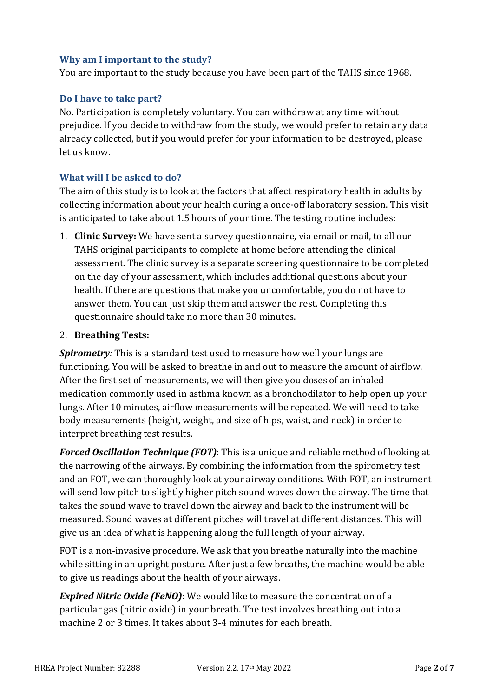## **Why am I important to the study?**

You are important to the study because you have been part of the TAHS since 1968.

## **Do I have to take part?**

No. Participation is completely voluntary. You can withdraw at any time without prejudice. If you decide to withdraw from the study, we would prefer to retain any data already collected, but if you would prefer for your information to be destroyed, please let us know.

## **What will I be asked to do?**

The aim of this study is to look at the factors that affect respiratory health in adults by collecting information about your health during a once-off laboratory session. This visit is anticipated to take about 1.5 hours of your time. The testing routine includes:

1. **Clinic Survey:** We have sent a survey questionnaire, via email or mail, to all our TAHS original participants to complete at home before attending the clinical assessment. The clinic survey is a separate screening questionnaire to be completed on the day of your assessment, which includes additional questions about your health. If there are questions that make you uncomfortable, you do not have to answer them. You can just skip them and answer the rest. Completing this questionnaire should take no more than 30 minutes.

## 2. **Breathing Tests:**

*Spirometry:* This is a standard test used to measure how well your lungs are functioning. You will be asked to breathe in and out to measure the amount of airflow. After the first set of measurements, we will then give you doses of an inhaled medication commonly used in asthma known as a bronchodilator to help open up your lungs. After 10 minutes, airflow measurements will be repeated. We will need to take body measurements (height, weight, and size of hips, waist, and neck) in order to interpret breathing test results.

*Forced Oscillation Technique (FOT)*: This is a unique and reliable method of looking at the narrowing of the airways. By combining the information from the spirometry test and an FOT, we can thoroughly look at your airway conditions. With FOT, an instrument will send low pitch to slightly higher pitch sound waves down the airway. The time that takes the sound wave to travel down the airway and back to the instrument will be measured. Sound waves at different pitches will travel at different distances. This will give us an idea of what is happening along the full length of your airway.

FOT is a non-invasive procedure. We ask that you breathe naturally into the machine while sitting in an upright posture. After just a few breaths, the machine would be able to give us readings about the health of your airways.

*Expired Nitric Oxide (FeNO)*: We would like to measure the concentration of a particular gas (nitric oxide) in your breath. The test involves breathing out into a machine 2 or 3 times. It takes about 3-4 minutes for each breath.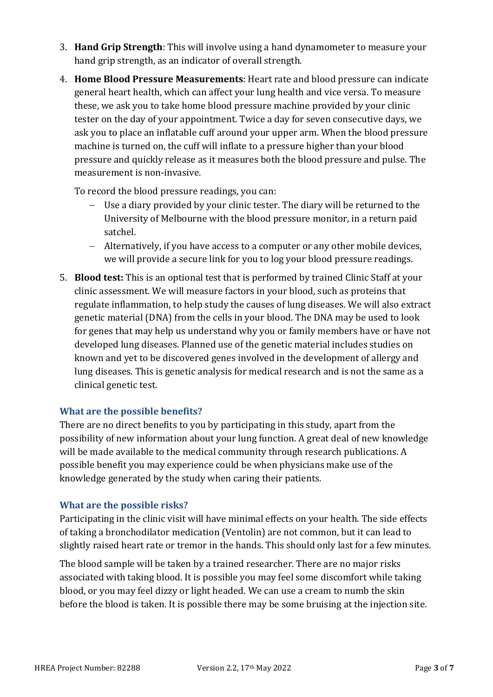- 3. **Hand Grip Strength**: This will involve using a hand dynamometer to measure your hand grip strength, as an indicator of overall strength.
- 4. **Home Blood Pressure Measurements**: Heart rate and blood pressure can indicate general heart health, which can affect your lung health and vice versa. To measure these, we ask you to take home blood pressure machine provided by your clinic tester on the day of your appointment. Twice a day for seven consecutive days, we ask you to place an inflatable cuff around your upper arm. When the blood pressure machine is turned on, the cuff will inflate to a pressure higher than your blood pressure and quickly release as it measures both the blood pressure and pulse. The measurement is non-invasive.

To record the blood pressure readings, you can:

- Use a diary provided by your clinic tester. The diary will be returned to the University of Melbourne with the blood pressure monitor, in a return paid satchel.
- − Alternatively, if you have access to a computer or any other mobile devices, we will provide a secure link for you to log your blood pressure readings.
- 5. **Blood test:** This is an optional test that is performed by trained Clinic Staff at your clinic assessment. We will measure factors in your blood, such as proteins that regulate inflammation, to help study the causes of lung diseases. We will also extract genetic material (DNA) from the cells in your blood. The DNA may be used to look for genes that may help us understand why you or family members have or have not developed lung diseases. Planned use of the genetic material includes studies on known and yet to be discovered genes involved in the development of allergy and lung diseases. This is genetic analysis for medical research and is not the same as a clinical genetic test.

## **What are the possible benefits?**

There are no direct benefits to you by participating in this study, apart from the possibility of new information about your lung function. A great deal of new knowledge will be made available to the medical community through research publications. A possible benefit you may experience could be when physicians make use of the knowledge generated by the study when caring their patients.

## **What are the possible risks?**

Participating in the clinic visit will have minimal effects on your health. The side effects of taking a bronchodilator medication (Ventolin) are not common, but it can lead to slightly raised heart rate or tremor in the hands. This should only last for a few minutes.

The blood sample will be taken by a trained researcher. There are no major risks associated with taking blood. It is possible you may feel some discomfort while taking blood, or you may feel dizzy or light headed. We can use a cream to numb the skin before the blood is taken. It is possible there may be some bruising at the injection site.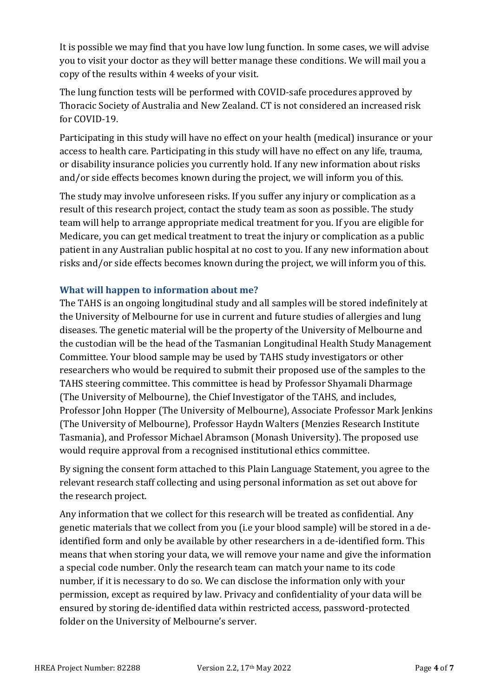It is possible we may find that you have low lung function. In some cases, we will advise you to visit your doctor as they will better manage these conditions. We will mail you a copy of the results within 4 weeks of your visit.

The lung function tests will be performed with COVID-safe procedures approved by Thoracic Society of Australia and New Zealand. CT is not considered an increased risk for COVID-19.

Participating in this study will have no effect on your health (medical) insurance or your access to health care. Participating in this study will have no effect on any life, trauma, or disability insurance policies you currently hold. If any new information about risks and/or side effects becomes known during the project, we will inform you of this.

The study may involve unforeseen risks. If you suffer any injury or complication as a result of this research project, contact the study team as soon as possible. The study team will help to arrange appropriate medical treatment for you. If you are eligible for Medicare, you can get medical treatment to treat the injury or complication as a public patient in any Australian public hospital at no cost to you. If any new information about risks and/or side effects becomes known during the project, we will inform you of this.

## **What will happen to information about me?**

The TAHS is an ongoing longitudinal study and all samples will be stored indefinitely at the University of Melbourne for use in current and future studies of allergies and lung diseases. The genetic material will be the property of the University of Melbourne and the custodian will be the head of the Tasmanian Longitudinal Health Study Management Committee. Your blood sample may be used by TAHS study investigators or other researchers who would be required to submit their proposed use of the samples to the TAHS steering committee. This committee is head by Professor Shyamali Dharmage (The University of Melbourne), the Chief Investigator of the TAHS, and includes, Professor John Hopper (The University of Melbourne), Associate Professor Mark Jenkins (The University of Melbourne), Professor Haydn Walters (Menzies Research Institute Tasmania), and Professor Michael Abramson (Monash University). The proposed use would require approval from a recognised institutional ethics committee.

By signing the consent form attached to this Plain Language Statement, you agree to the relevant research staff collecting and using personal information as set out above for the research project.

Any information that we collect for this research will be treated as confidential. Any genetic materials that we collect from you (i.e your blood sample) will be stored in a deidentified form and only be available by other researchers in a de-identified form. This means that when storing your data, we will remove your name and give the information a special code number. Only the research team can match your name to its code number, if it is necessary to do so. We can disclose the information only with your permission, except as required by law. Privacy and confidentiality of your data will be ensured by storing de-identified data within restricted access, password-protected folder on the University of Melbourne's server.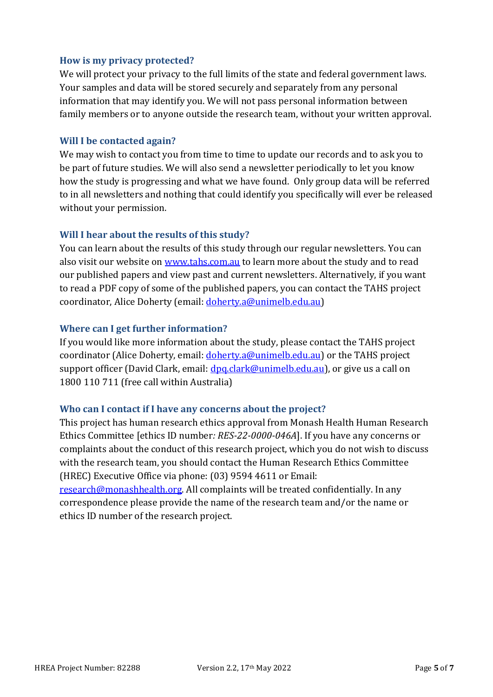## **How is my privacy protected?**

We will protect your privacy to the full limits of the state and federal government laws. Your samples and data will be stored securely and separately from any personal information that may identify you. We will not pass personal information between family members or to anyone outside the research team, without your written approval.

#### **Will I be contacted again?**

We may wish to contact you from time to time to update our records and to ask you to be part of future studies. We will also send a newsletter periodically to let you know how the study is progressing and what we have found. Only group data will be referred to in all newsletters and nothing that could identify you specifically will ever be released without your permission.

## **Will I hear about the results of this study?**

You can learn about the results of this study through our regular newsletters. You can also visit our website on [www.tahs.com.au](http://www.tahs.com.au/) to learn more about the study and to read our published papers and view past and current newsletters. Alternatively, if you want to read a PDF copy of some of the published papers, you can contact the TAHS project coordinator, Alice Doherty (email: [doherty.a@unimelb.edu.au\)](mailto:doherty.a@unimelb.edu.au)

## **Where can I get further information?**

If you would like more information about the study, please contact the TAHS project coordinator (Alice Doherty, email: [doherty.a@unimelb.edu.au\)](mailto:doherty.a@unimelb.edu.au) or the TAHS project support officer (David Clark, email: <u>dpq.clark@unimelb.edu.au</u>), or give us a call on 1800 110 711 (free call within Australia)

## **Who can I contact if I have any concerns about the project?**

This project has human research ethics approval from Monash Health Human Research Ethics Committee [ethics ID number*: RES-22-0000-046A*]. If you have any concerns or complaints about the conduct of this research project, which you do not wish to discuss with the research team, you should contact the Human Research Ethics Committee (HREC) Executive Office via phone: (03) 9594 4611 or Email:

[research@monashhealth.org.](mailto:research@monashhealth.org) All complaints will be treated confidentially. In any correspondence please provide the name of the research team and/or the name or ethics ID number of the research project.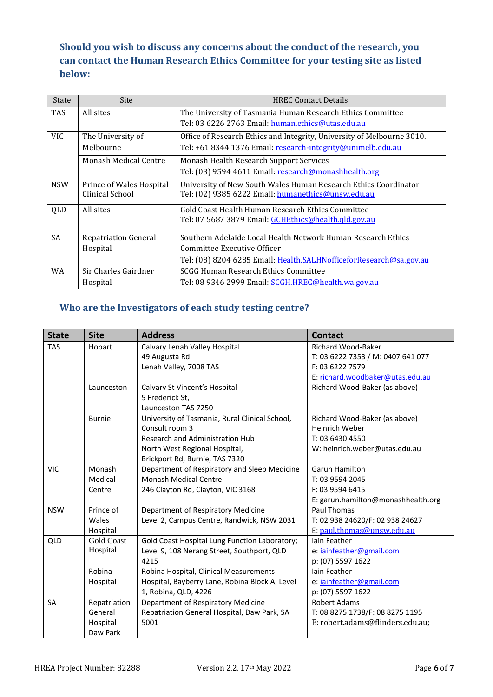**Should you wish to discuss any concerns about the conduct of the research, you can contact the Human Research Ethics Committee for your testing site as listed below:**

| State      | <b>Site</b>                                                                                 | <b>HREC Contact Details</b>                                            |  |
|------------|---------------------------------------------------------------------------------------------|------------------------------------------------------------------------|--|
| <b>TAS</b> | All sites                                                                                   | The University of Tasmania Human Research Ethics Committee             |  |
|            |                                                                                             | Tel: 03 6226 2763 Email: human.ethics@utas.edu.au                      |  |
| VIC.       | The University of                                                                           | Office of Research Ethics and Integrity, University of Melbourne 3010. |  |
|            | Melbourne                                                                                   | Tel: +61 8344 1376 Email: research-integrity@unimelb.edu.au            |  |
|            | <b>Monash Medical Centre</b>                                                                | Monash Health Research Support Services                                |  |
|            |                                                                                             | Tel: (03) 9594 4611 Email: research@monashhealth.org                   |  |
| <b>NSW</b> | University of New South Wales Human Research Ethics Coordinator<br>Prince of Wales Hospital |                                                                        |  |
|            | Clinical School                                                                             | Tel: (02) 9385 6222 Email: humanethics@unsw.edu.au                     |  |
| QLD        | All sites                                                                                   | Gold Coast Health Human Research Ethics Committee                      |  |
|            |                                                                                             | Tel: 07 5687 3879 Email: GCHEthics@health.gld.gov.au                   |  |
| <b>SA</b>  | <b>Repatriation General</b>                                                                 | Southern Adelaide Local Health Network Human Research Ethics           |  |
|            | Hospital                                                                                    | Committee Executive Officer                                            |  |
|            |                                                                                             | Tel: (08) 8204 6285 Email: Health.SALHNofficeforResearch@sa.gov.au     |  |
| WA.        | Sir Charles Gairdner                                                                        | <b>SCGG Human Research Ethics Committee</b>                            |  |
|            | Hospital                                                                                    | Tel: 08 9346 2999 Email: SCGH.HREC@health.wa.gov.au                    |  |

## **Who are the Investigators of each study testing centre?**

| <b>State</b> | <b>Site</b>       | <b>Address</b>                                 | <b>Contact</b>                     |
|--------------|-------------------|------------------------------------------------|------------------------------------|
| <b>TAS</b>   | Hobart            | Calvary Lenah Valley Hospital                  | <b>Richard Wood-Baker</b>          |
|              |                   | 49 Augusta Rd                                  | T: 03 6222 7353 / M: 0407 641 077  |
|              |                   | Lenah Valley, 7008 TAS                         | F: 03 6222 7579                    |
|              |                   |                                                | E: richard.woodbaker@utas.edu.au   |
|              | Launceston        | Calvary St Vincent's Hospital                  | Richard Wood-Baker (as above)      |
|              |                   | 5 Frederick St,                                |                                    |
|              |                   | Launceston TAS 7250                            |                                    |
|              | <b>Burnie</b>     | University of Tasmania, Rural Clinical School, | Richard Wood-Baker (as above)      |
|              |                   | Consult room 3                                 | Heinrich Weber                     |
|              |                   | Research and Administration Hub                | T: 03 6430 4550                    |
|              |                   | North West Regional Hospital,                  | W: heinrich.weber@utas.edu.au      |
|              |                   | Brickport Rd, Burnie, TAS 7320                 |                                    |
| <b>VIC</b>   | Monash            | Department of Respiratory and Sleep Medicine   | Garun Hamilton                     |
|              | Medical           | <b>Monash Medical Centre</b>                   | T: 03 9594 2045                    |
|              | Centre            | 246 Clayton Rd, Clayton, VIC 3168              | F: 03 9594 6415                    |
|              |                   |                                                | E: garun.hamilton@monashhealth.org |
| <b>NSW</b>   | Prince of         | Department of Respiratory Medicine             | Paul Thomas                        |
|              | Wales             | Level 2, Campus Centre, Randwick, NSW 2031     | T: 02 938 24620/F: 02 938 24627    |
|              | Hospital          |                                                | E: paul.thomas@unsw.edu.au         |
| QLD          | <b>Gold Coast</b> | Gold Coast Hospital Lung Function Laboratory;  | <b>Iain Feather</b>                |
|              | Hospital          | Level 9, 108 Nerang Street, Southport, QLD     | e: iainfeather@gmail.com           |
|              |                   | 4215                                           | p: (07) 5597 1622                  |
|              | Robina            | Robina Hospital, Clinical Measurements         | <b>lain Feather</b>                |
|              | Hospital          | Hospital, Bayberry Lane, Robina Block A, Level | e: iainfeather@gmail.com           |
|              |                   | 1, Robina, QLD, 4226                           | p: (07) 5597 1622                  |
| <b>SA</b>    | Repatriation      | Department of Respiratory Medicine             | <b>Robert Adams</b>                |
|              | General           | Repatriation General Hospital, Daw Park, SA    | T: 08 8275 1738/F: 08 8275 1195    |
|              | Hospital          | 5001                                           | E: robert.adams@flinders.edu.au;   |
|              | Daw Park          |                                                |                                    |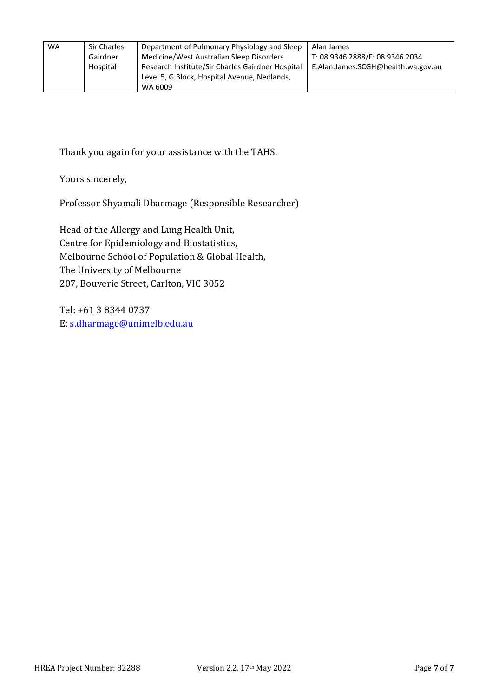| WA | <b>Sir Charles</b> | Department of Pulmonary Physiology and Sleep     | Alan James                         |
|----|--------------------|--------------------------------------------------|------------------------------------|
|    | Gairdner           | Medicine/West Australian Sleep Disorders         | T: 08 9346 2888/F: 08 9346 2034    |
|    | Hospital           | Research Institute/Sir Charles Gairdner Hospital | E:Alan.James.SCGH@health.wa.gov.au |
|    |                    |                                                  |                                    |
|    |                    | Level 5, G Block, Hospital Avenue, Nedlands,     |                                    |
|    |                    | WA 6009                                          |                                    |

Thank you again for your assistance with the TAHS.

Yours sincerely,

Professor Shyamali Dharmage (Responsible Researcher)

Head of the Allergy and Lung Health Unit, Centre for Epidemiology and Biostatistics, Melbourne School of Population & Global Health, The University of Melbourne 207, Bouverie Street, Carlton, VIC 3052

Tel: +61 3 8344 0737 E[: s.dharmage@unimelb.edu.au](mailto:s.dharmage@unimelb.edu.au)